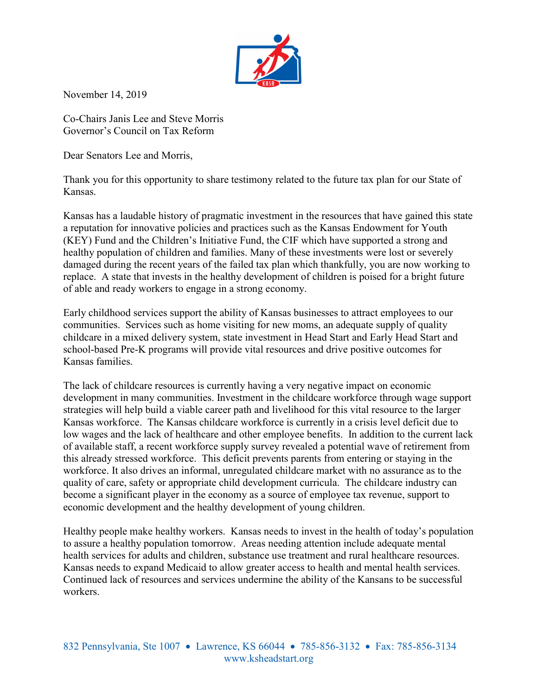

November 14, 2019

Co-Chairs Janis Lee and Steve Morris Governor's Council on Tax Reform

Dear Senators Lee and Morris,

Thank you for this opportunity to share testimony related to the future tax plan for our State of Kansas.

Kansas has a laudable history of pragmatic investment in the resources that have gained this state a reputation for innovative policies and practices such as the Kansas Endowment for Youth (KEY) Fund and the Children's Initiative Fund, the CIF which have supported a strong and healthy population of children and families. Many of these investments were lost or severely damaged during the recent years of the failed tax plan which thankfully, you are now working to replace. A state that invests in the healthy development of children is poised for a bright future of able and ready workers to engage in a strong economy.

Early childhood services support the ability of Kansas businesses to attract employees to our communities. Services such as home visiting for new moms, an adequate supply of quality childcare in a mixed delivery system, state investment in Head Start and Early Head Start and school-based Pre-K programs will provide vital resources and drive positive outcomes for Kansas families.

The lack of childcare resources is currently having a very negative impact on economic development in many communities. Investment in the childcare workforce through wage support strategies will help build a viable career path and livelihood for this vital resource to the larger Kansas workforce. The Kansas childcare workforce is currently in a crisis level deficit due to low wages and the lack of healthcare and other employee benefits. In addition to the current lack of available staff, a recent workforce supply survey revealed a potential wave of retirement from this already stressed workforce. This deficit prevents parents from entering or staying in the workforce. It also drives an informal, unregulated childcare market with no assurance as to the quality of care, safety or appropriate child development curricula. The childcare industry can become a significant player in the economy as a source of employee tax revenue, support to economic development and the healthy development of young children.

Healthy people make healthy workers. Kansas needs to invest in the health of today's population to assure a healthy population tomorrow. Areas needing attention include adequate mental health services for adults and children, substance use treatment and rural healthcare resources. Kansas needs to expand Medicaid to allow greater access to health and mental health services. Continued lack of resources and services undermine the ability of the Kansans to be successful workers.